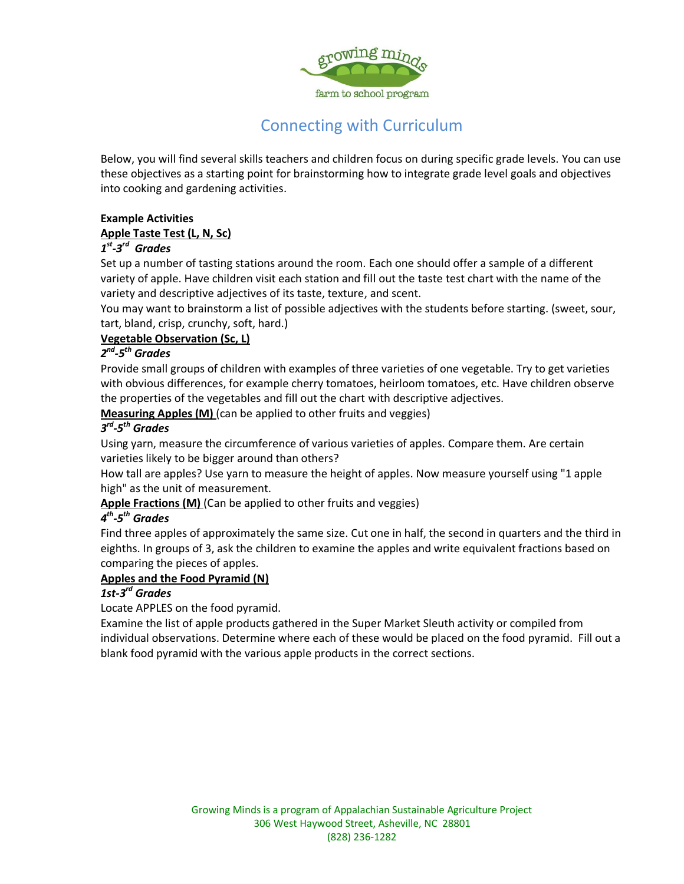

# Connecting with Curriculum

Below, you will find several skills teachers and children focus on during specific grade levels. You can use these objectives as a starting point for brainstorming how to integrate grade level goals and objectives into cooking and gardening activities.

## **Example Activities**

#### **[Apple Taste Test \(L, N, Sc\)](http://www.nyapplecountry.com/teacherkits/tastetest.pdf)**

## *1 st -3 rd Grades*

Set up a number of tasting stations around the room. Each one should offer a sample of a different variety of apple. Have children visit each station and fill out the taste test chart with the name of the variety and descriptive adjectives of its taste, texture, and scent.

You may want to brainstorm a list of possible adjectives with the students before starting. (sweet, sour, tart, bland, crisp, crunchy, soft, hard.)

#### **[Vegetable Observation \(Sc, L\)](http://www.nyapplecountry.com/teacherkits/appleobservations.pdf)**

### *2 nd -5 th Grades*

Provide small groups of children with examples of three varieties of one vegetable. Try to get varieties with obvious differences, for example cherry tomatoes, heirloom tomatoes, etc. Have children observe the properties of the vegetables and fill out the chart with descriptive adjectives.

**Measuring Apples (M)** (can be applied to other fruits and veggies)

#### *3 rd -5 th Grades*

Using yarn, measure the circumference of various varieties of apples. Compare them. Are certain varieties likely to be bigger around than others?

How tall are apples? Use yarn to measure the height of apples. Now measure yourself using "1 apple high" as the unit of measurement.

Apple Fractions (M) (Can be applied to other fruits and veggies)

#### *4 th -5 th Grades*

Find three apples of approximately the same size. Cut one in half, the second in quarters and the third in eighths. In groups of 3, ask the children to examine the apples and write equivalent fractions based on comparing the pieces of apples.

#### **Apples and the Food Pyramid (N)**

### *1st-3 rd Grades*

Locate APPLES on the food pyramid.

Examine the list of apple products gathered in the Super Market Sleuth activity or compiled from individual observations. Determine where each of these would be placed on the food pyramid. Fill out a blank food pyramid with the various apple products in the correct sections.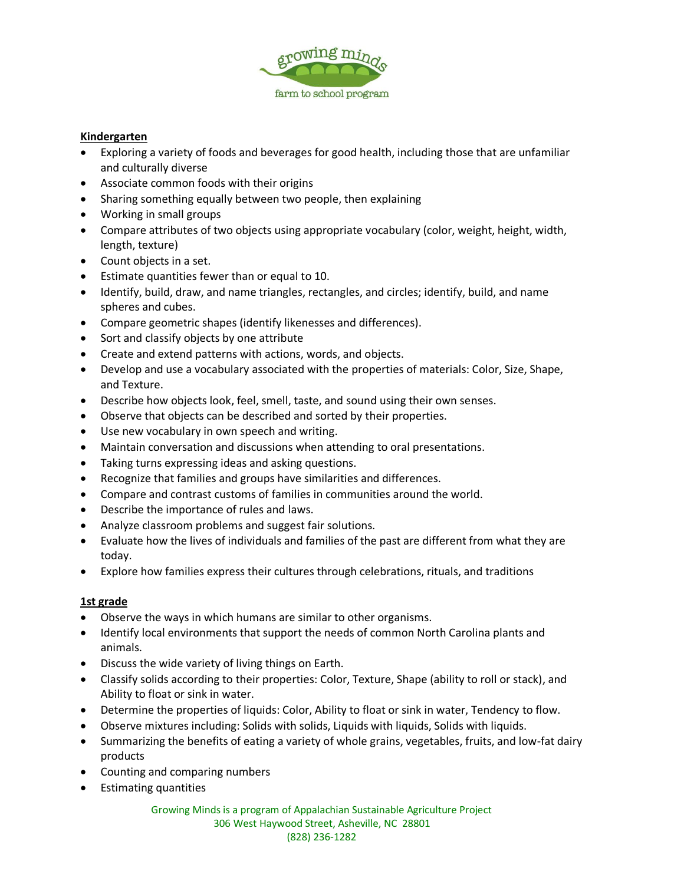

#### **Kindergarten**

- Exploring a variety of foods and beverages for good health, including those that are unfamiliar and culturally diverse
- Associate common foods with their origins
- Sharing something equally between two people, then explaining
- Working in small groups
- Compare attributes of two objects using appropriate vocabulary (color, weight, height, width, length, texture)
- Count objects in a set.
- Estimate quantities fewer than or equal to 10.
- Identify, build, draw, and name triangles, rectangles, and circles; identify, build, and name spheres and cubes.
- Compare geometric shapes (identify likenesses and differences).
- Sort and classify objects by one attribute
- Create and extend patterns with actions, words, and objects.
- Develop and use a vocabulary associated with the properties of materials: Color, Size, Shape, and Texture.
- Describe how objects look, feel, smell, taste, and sound using their own senses.
- Observe that objects can be described and sorted by their properties.
- Use new vocabulary in own speech and writing.
- Maintain conversation and discussions when attending to oral presentations.
- Taking turns expressing ideas and asking questions.
- Recognize that families and groups have similarities and differences.
- Compare and contrast customs of families in communities around the world.
- Describe the importance of rules and laws.
- Analyze classroom problems and suggest fair solutions.
- Evaluate how the lives of individuals and families of the past are different from what they are today.
- Explore how families express their cultures through celebrations, rituals, and traditions

#### **1st grade**

- Observe the ways in which humans are similar to other organisms.
- Identify local environments that support the needs of common North Carolina plants and animals.
- Discuss the wide variety of living things on Earth.
- Classify solids according to their properties: Color, Texture, Shape (ability to roll or stack), and Ability to float or sink in water.
- Determine the properties of liquids: Color, Ability to float or sink in water, Tendency to flow.
- Observe mixtures including: Solids with solids, Liquids with liquids, Solids with liquids.
- Summarizing the benefits of eating a variety of whole grains, vegetables, fruits, and low-fat dairy products
- Counting and comparing numbers
- Estimating quantities

Growing Minds is a program of Appalachian Sustainable Agriculture Project 306 West Haywood Street, Asheville, NC 28801 (828) 236-1282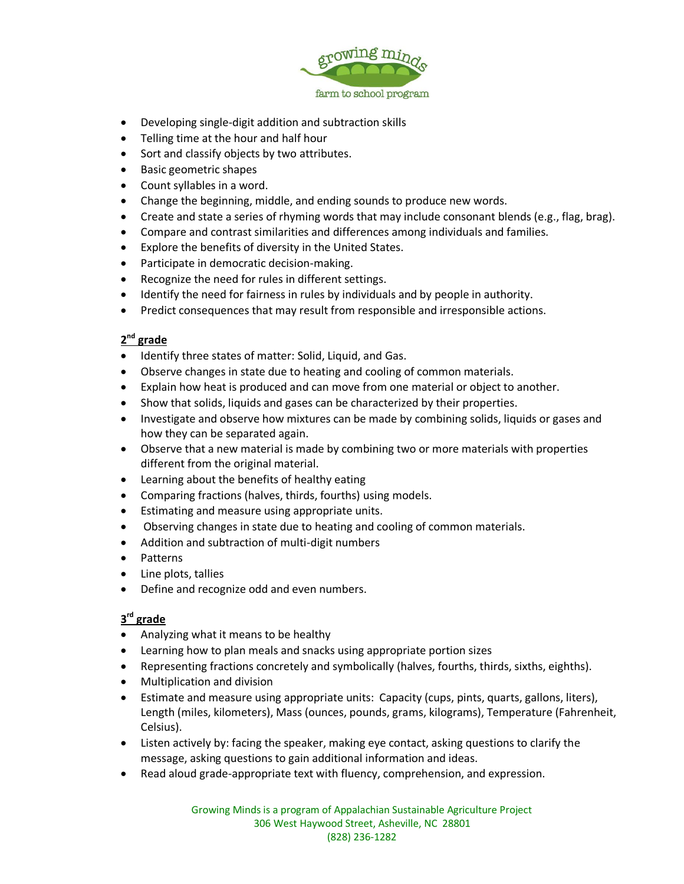

- Developing single-digit addition and subtraction skills
- Telling time at the hour and half hour
- Sort and classify objects by two attributes.
- Basic geometric shapes
- Count syllables in a word.
- Change the beginning, middle, and ending sounds to produce new words.
- Create and state a series of rhyming words that may include consonant blends (e.g., flag, brag).
- Compare and contrast similarities and differences among individuals and families.
- Explore the benefits of diversity in the United States.
- Participate in democratic decision-making.
- Recognize the need for rules in different settings.
- Identify the need for fairness in rules by individuals and by people in authority.
- Predict consequences that may result from responsible and irresponsible actions.

#### **2 nd grade**

- Identify three states of matter: Solid, Liquid, and Gas.
- Observe changes in state due to heating and cooling of common materials.
- Explain how heat is produced and can move from one material or object to another.
- Show that solids, liquids and gases can be characterized by their properties.
- Investigate and observe how mixtures can be made by combining solids, liquids or gases and how they can be separated again.
- Observe that a new material is made by combining two or more materials with properties different from the original material.
- Learning about the benefits of healthy eating
- Comparing fractions (halves, thirds, fourths) using models.
- Estimating and measure using appropriate units.
- Observing changes in state due to heating and cooling of common materials.
- Addition and subtraction of multi-digit numbers
- Patterns
- Line plots, tallies
- Define and recognize odd and even numbers.

#### **3 rd grade**

- Analyzing what it means to be healthy
- Learning how to plan meals and snacks using appropriate portion sizes
- Representing fractions concretely and symbolically (halves, fourths, thirds, sixths, eighths).
- Multiplication and division
- Estimate and measure using appropriate units: Capacity (cups, pints, quarts, gallons, liters), Length (miles, kilometers), Mass (ounces, pounds, grams, kilograms), Temperature (Fahrenheit, Celsius).
- Listen actively by: facing the speaker, making eye contact, asking questions to clarify the message, asking questions to gain additional information and ideas.
- Read aloud grade-appropriate text with fluency, comprehension, and expression.